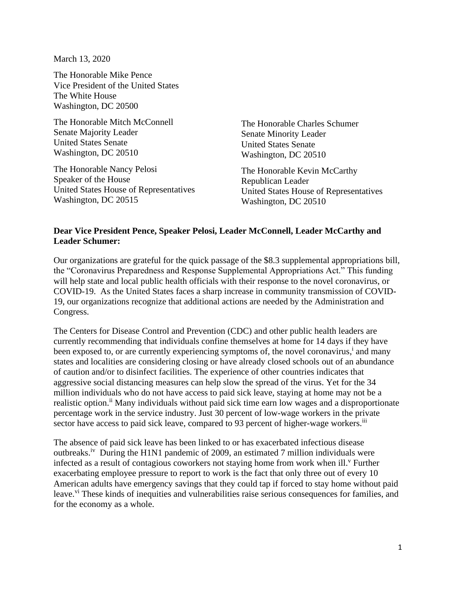March 13, 2020

The Honorable Mike Pence Vice President of the United States The White House Washington, DC 20500

The Honorable Mitch McConnell Senate Majority Leader United States Senate Washington, DC 20510

The Honorable Nancy Pelosi Speaker of the House United States House of Representatives Washington, DC 20515

The Honorable Charles Schumer Senate Minority Leader United States Senate Washington, DC 20510

The Honorable Kevin McCarthy Republican Leader United States House of Representatives Washington, DC 20510

## **Dear Vice President Pence, Speaker Pelosi, Leader McConnell, Leader McCarthy and Leader Schumer:**

Our organizations are grateful for the quick passage of the \$8.3 supplemental appropriations bill, the "Coronavirus Preparedness and Response Supplemental Appropriations Act." This funding will help state and local public health officials with their response to the novel coronavirus, or COVID-19. As the United States faces a sharp increase in community transmission of COVID-19, our organizations recognize that additional actions are needed by the Administration and Congress.

The Centers for Disease Control and Prevention (CDC) and other public health leaders are currently recommending that individuals confine themselves at home for 14 days if they have been exposed to, or are currently experiencing symptoms of, the novel coronavirus,<sup>i</sup> and many states and localities are considering closing or have already closed schools out of an abundance of caution and/or to disinfect facilities. The experience of other countries indicates that aggressive social distancing measures can help slow the spread of the virus. Yet for the 34 million individuals who do not have access to paid sick leave, staying at home may not be a realistic option.<sup>ii</sup> Many individuals without paid sick time earn low wages and a disproportionate percentage work in the service industry. Just 30 percent of low-wage workers in the private sector have access to paid sick leave, compared to 93 percent of higher-wage workers.<sup>iii</sup>

The absence of paid sick leave has been linked to or has exacerbated infectious disease outbreaks.iv During the H1N1 pandemic of 2009, an estimated 7 million individuals were infected as a result of contagious coworkers not staying home from work when ill.<sup>v</sup> Further exacerbating employee pressure to report to work is the fact that only three out of every 10 American adults have emergency savings that they could tap if forced to stay home without paid leave.<sup>vi</sup> These kinds of inequities and vulnerabilities raise serious consequences for families, and for the economy as a whole.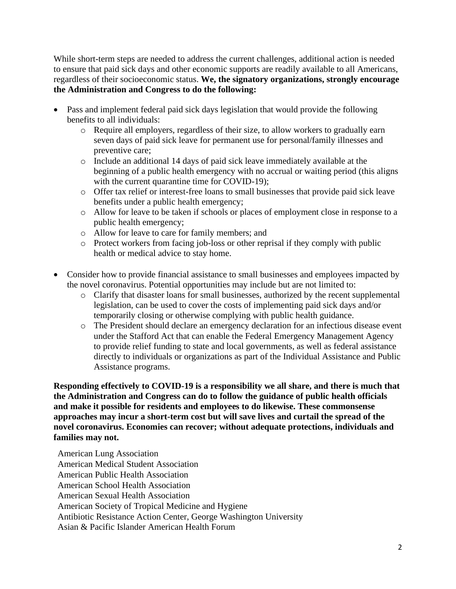While short-term steps are needed to address the current challenges, additional action is needed to ensure that paid sick days and other economic supports are readily available to all Americans, regardless of their socioeconomic status. **We, the signatory organizations, strongly encourage the Administration and Congress to do the following:**

- Pass and implement federal paid sick days legislation that would provide the following benefits to all individuals:
	- o Require all employers, regardless of their size, to allow workers to gradually earn seven days of paid sick leave for permanent use for personal/family illnesses and preventive care;
	- o Include an additional 14 days of paid sick leave immediately available at the beginning of a public health emergency with no accrual or waiting period (this aligns with the current quarantine time for COVID-19);
	- o Offer tax relief or interest-free loans to small businesses that provide paid sick leave benefits under a public health emergency;
	- o Allow for leave to be taken if schools or places of employment close in response to a public health emergency;
	- o Allow for leave to care for family members; and
	- o Protect workers from facing job-loss or other reprisal if they comply with public health or medical advice to stay home.
- Consider how to provide financial assistance to small businesses and employees impacted by the novel coronavirus. Potential opportunities may include but are not limited to:
	- o Clarify that disaster loans for small businesses, authorized by the recent supplemental legislation, can be used to cover the costs of implementing paid sick days and/or temporarily closing or otherwise complying with public health guidance.
	- o The President should declare an emergency declaration for an infectious disease event under the Stafford Act that can enable the Federal Emergency Management Agency to provide relief funding to state and local governments, as well as federal assistance directly to individuals or organizations as part of the Individual Assistance and Public Assistance programs.

**Responding effectively to COVID-19 is a responsibility we all share, and there is much that the Administration and Congress can do to follow the guidance of public health officials and make it possible for residents and employees to do likewise. These commonsense approaches may incur a short-term cost but will save lives and curtail the spread of the novel coronavirus. Economies can recover; without adequate protections, individuals and families may not.** 

American Lung Association American Medical Student Association American Public Health Association American School Health Association American Sexual Health Association American Society of Tropical Medicine and Hygiene Antibiotic Resistance Action Center, George Washington University Asian & Pacific Islander American Health Forum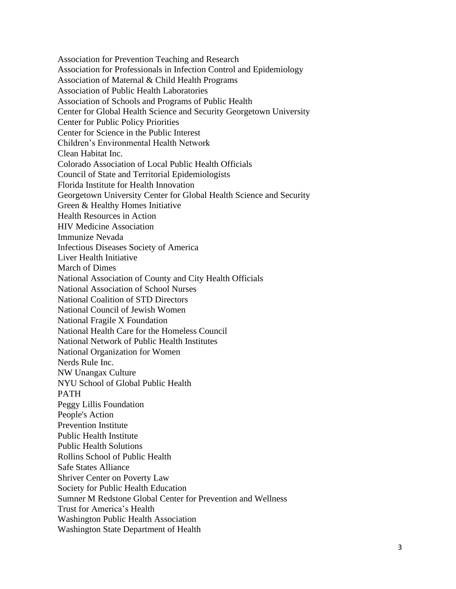Association for Prevention Teaching and Research Association for Professionals in Infection Control and Epidemiology Association of Maternal & Child Health Programs Association of Public Health Laboratories Association of Schools and Programs of Public Health Center for Global Health Science and Security Georgetown University Center for Public Policy Priorities Center for Science in the Public Interest Children's Environmental Health Network Clean Habitat Inc. Colorado Association of Local Public Health Officials Council of State and Territorial Epidemiologists Florida Institute for Health Innovation Georgetown University Center for Global Health Science and Security Green & Healthy Homes Initiative Health Resources in Action HIV Medicine Association Immunize Nevada Infectious Diseases Society of America Liver Health Initiative March of Dimes National Association of County and City Health Officials National Association of School Nurses National Coalition of STD Directors National Council of Jewish Women National Fragile X Foundation National Health Care for the Homeless Council National Network of Public Health Institutes National Organization for Women Nerds Rule Inc. NW Unangax Culture NYU School of Global Public Health PATH Peggy Lillis Foundation People's Action Prevention Institute Public Health Institute Public Health Solutions Rollins School of Public Health Safe States Alliance Shriver Center on Poverty Law Society for Public Health Education Sumner M Redstone Global Center for Prevention and Wellness Trust for America's Health Washington Public Health Association Washington State Department of Health